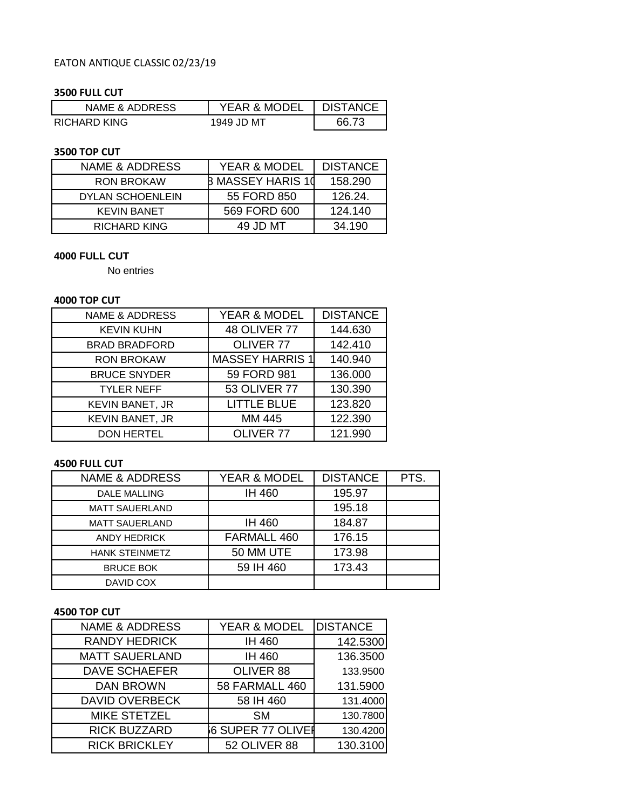# EATON ANTIQUE CLASSIC 02/23/19

## **3500 FULL CUT**

| NAME & ADDRESS | <b>YEAR &amp; MODEL</b> | <b>DISTANCE</b> |
|----------------|-------------------------|-----------------|
| RICHARD KING   | 1949 JD MT              | 66 I            |

#### **3500 TOP CUT**

| NAME & ADDRESS          | <b>YEAR &amp; MODEL</b>  | <b>DISTANCE</b> |
|-------------------------|--------------------------|-----------------|
| <b>RON BROKAW</b>       | <b>B MASSEY HARIS 10</b> | 158.290         |
| <b>DYLAN SCHOENLEIN</b> | 55 FORD 850              | 126.24.         |
| <b>KEVIN BANET</b>      | 569 FORD 600             | 124.140         |
| RICHARD KING            | 49 JD MT                 | 34.190          |

### **4000 FULL CUT**

No entries

## **4000 TOP CUT**

| <b>NAME &amp; ADDRESS</b> | YEAR & MODEL           | <b>DISTANCE</b> |
|---------------------------|------------------------|-----------------|
| <b>KEVIN KUHN</b>         | <b>48 OLIVER 77</b>    | 144.630         |
| <b>BRAD BRADFORD</b>      | OLIVER <sub>77</sub>   | 142.410         |
| <b>RON BROKAW</b>         | <b>MASSEY HARRIS 1</b> | 140.940         |
| <b>BRUCE SNYDER</b>       | 59 FORD 981            | 136.000         |
| <b>TYLER NEFF</b>         | <b>53 OLIVER 77</b>    | 130.390         |
| <b>KEVIN BANET, JR</b>    | <b>LITTLE BLUE</b>     | 123.820         |
| KEVIN BANET, JR           | MM 445                 | 122.390         |
| <b>DON HERTEL</b>         | OLIVER <sub>77</sub>   | 121.990         |

# **4500 FULL CUT**

| <b>NAME &amp; ADDRESS</b> | <b>YEAR &amp; MODEL</b> | <b>DISTANCE</b> | PTS. |
|---------------------------|-------------------------|-----------------|------|
| <b>DALE MALLING</b>       | IH 460                  | 195.97          |      |
| <b>MATT SAUERLAND</b>     |                         | 195.18          |      |
| <b>MATT SAUERLAND</b>     | IH 460                  | 184.87          |      |
| <b>ANDY HEDRICK</b>       | FARMALL 460             | 176.15          |      |
| <b>HANK STEINMETZ</b>     | 50 MM UTE               | 173.98          |      |
| <b>BRUCE BOK</b>          | 59 IH 460               | 173.43          |      |
| DAVID COX                 |                         |                 |      |

#### **4500 TOP CUT**

| <b>NAME &amp; ADDRESS</b> | <b>YEAR &amp; MODEL</b>  | <b>DISTANCE</b> |
|---------------------------|--------------------------|-----------------|
| <b>RANDY HEDRICK</b>      | IH 460                   | 142.5300        |
| <b>MATT SAUERLAND</b>     | IH 460                   | 136.3500        |
| <b>DAVE SCHAEFER</b>      | OLIVER 88                | 133.9500        |
| <b>DAN BROWN</b>          | <b>58 FARMALL 460</b>    | 131.5900        |
| <b>DAVID OVERBECK</b>     | 58 IH 460                | 131.4000        |
| <b>MIKE STETZEL</b>       | <b>SM</b>                | 130.7800        |
| <b>RICK BUZZARD</b>       | <b>6 SUPER 77 OLIVER</b> | 130.4200        |
| <b>RICK BRICKLEY</b>      | 52 OLIVER 88             | 130.3100        |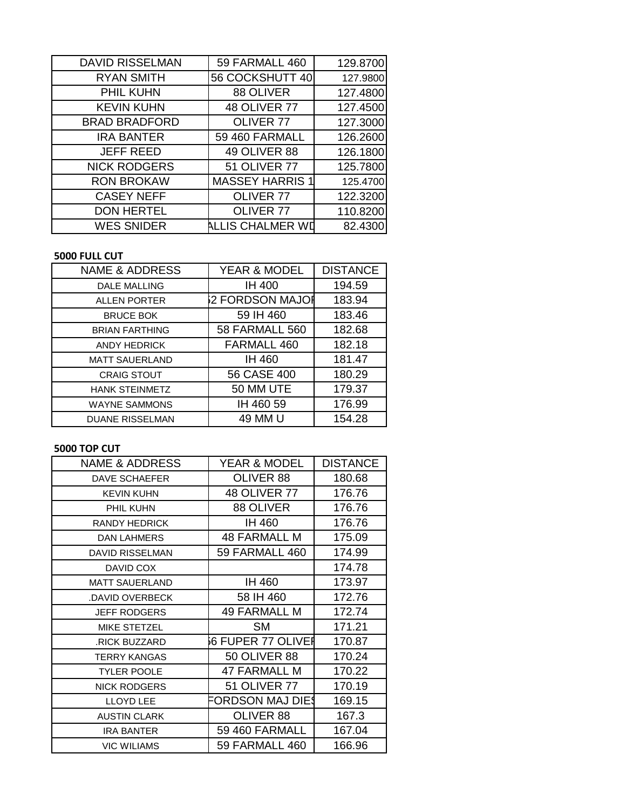| <b>DAVID RISSELMAN</b> | 59 FARMALL 460         | 129.8700 |
|------------------------|------------------------|----------|
| <b>RYAN SMITH</b>      | 56 COCKSHUTT 40        | 127.9800 |
| PHIL KUHN              | 88 OLIVER              | 127.4800 |
| <b>KEVIN KUHN</b>      | <b>48 OLIVER 77</b>    | 127.4500 |
| <b>BRAD BRADFORD</b>   | OLIVER <sub>77</sub>   | 127.3000 |
| <b>IRA BANTER</b>      | 59 460 FARMALL         | 126.2600 |
| <b>JEFF REED</b>       | 49 OLIVER 88           | 126.1800 |
| <b>NICK RODGERS</b>    | <b>51 OLIVER 77</b>    | 125.7800 |
| <b>RON BROKAW</b>      | <b>MASSEY HARRIS 1</b> | 125.4700 |
| <b>CASEY NEFF</b>      | OLIVER 77              | 122.3200 |
| <b>DON HERTEL</b>      | OLIVER 77              | 110.8200 |
| <b>WES SNIDER</b>      | ALLIS CHALMER WI       | 82.4300  |

### **5000 FULL CUT**

| <b>NAME &amp; ADDRESS</b> | YEAR & MODEL    | <b>DISTANCE</b> |
|---------------------------|-----------------|-----------------|
| <b>DALE MALLING</b>       | <b>IH 400</b>   | 194.59          |
| <b>ALLEN PORTER</b>       | 2 FORDSON MAJOI | 183.94          |
| <b>BRUCE BOK</b>          | 59 IH 460       | 183.46          |
| <b>BRIAN FARTHING</b>     | 58 FARMALL 560  | 182.68          |
| <b>ANDY HEDRICK</b>       | FARMALL 460     | 182.18          |
| <b>MATT SAUERLAND</b>     | <b>IH 460</b>   | 181.47          |
| <b>CRAIG STOUT</b>        | 56 CASE 400     | 180.29          |
| <b>HANK STEINMETZ</b>     | 50 MM UTE       | 179.37          |
| <b>WAYNE SAMMONS</b>      | IH 460 59       | 176.99          |
| <b>DUANE RISSELMAN</b>    | 49 MM U         | 154.28          |

## **5000 TOP CUT**

| NAME & ADDRESS         | YEAR & MODEL        | <b>DISTANCE</b> |
|------------------------|---------------------|-----------------|
| DAVE SCHAEFER          | OLIVER 88           | 180.68          |
| <b>KEVIN KUHN</b>      | 48 OLIVER 77        | 176.76          |
| PHIL KUHN              | 88 OLIVER           | 176.76          |
| RANDY HEDRICK          | IH 460              | 176.76          |
| <b>DAN LAHMERS</b>     | 48 FARMALL M        | 175.09          |
| <b>DAVID RISSELMAN</b> | 59 FARMALL 460      | 174.99          |
| DAVID COX              |                     | 174.78          |
| <b>MATT SAUERLAND</b>  | IH 460              | 173.97          |
| DAVID OVERBECK         | 58 IH 460           | 172.76          |
| <b>JEFF RODGERS</b>    | <b>49 FARMALL M</b> | 172.74          |
| MIKE STETZEL           | <b>SM</b>           | 171.21          |
| <b>RICK BUZZARD</b>    | 66 FUPER 77 OLIVEI  | 170.87          |
| <b>TERRY KANGAS</b>    | <b>50 OLIVER 88</b> | 170.24          |
| <b>TYLER POOLE</b>     | 47 FARMALL M        | 170.22          |
| <b>NICK RODGERS</b>    | <b>51 OLIVER 77</b> | 170.19          |
| <b>LLOYD LEE</b>       | FORDSON MAJ DIE\$   | 169.15          |
| <b>AUSTIN CLARK</b>    | OLIVER 88           | 167.3           |
| <b>IRA BANTER</b>      | 59 460 FARMALL      | 167.04          |
| <b>VIC WILIAMS</b>     | 59 FARMALL 460      | 166.96          |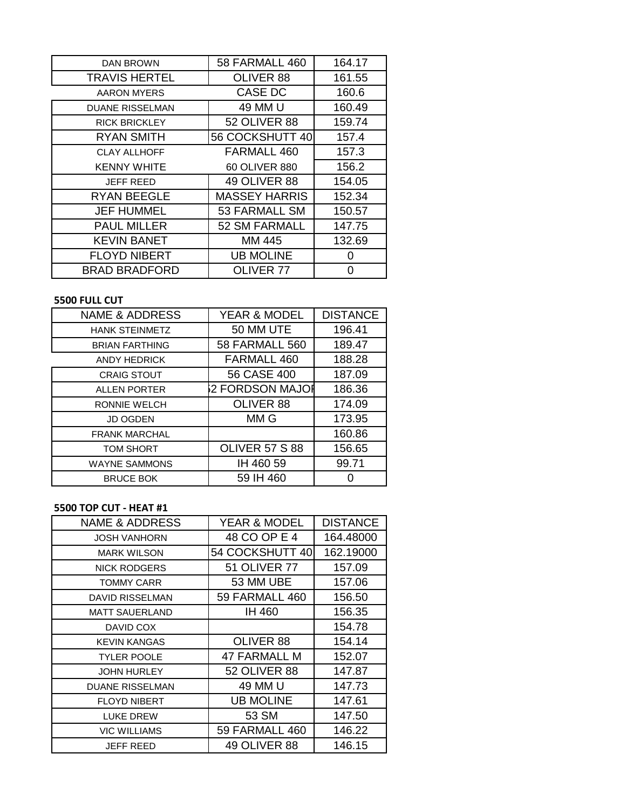| DAN BROWN              | 58 FARMALL 460       | 164.17 |
|------------------------|----------------------|--------|
| <b>TRAVIS HERTEL</b>   | OLIVER 88            | 161.55 |
| <b>AARON MYERS</b>     | CASE DC              | 160.6  |
| <b>DUANE RISSELMAN</b> | 49 MM U              | 160.49 |
| <b>RICK BRICKLEY</b>   | <b>52 OLIVER 88</b>  | 159.74 |
| <b>RYAN SMITH</b>      | 56 COCKSHUTT 40      | 157.4  |
| <b>CLAY ALLHOFF</b>    | FARMALL 460          | 157.3  |
| <b>KENNY WHITE</b>     | 60 OLIVER 880        | 156.2  |
| <b>JEFF REED</b>       | 49 OLIVER 88         | 154.05 |
| <b>RYAN BEEGLE</b>     | <b>MASSEY HARRIS</b> | 152.34 |
| <b>JEF HUMMEL</b>      | 53 FARMALL SM        | 150.57 |
| <b>PAUL MILLER</b>     | 52 SM FARMALL        | 147.75 |
| <b>KEVIN BANET</b>     | MM 445               | 132.69 |
| <b>FLOYD NIBERT</b>    | <b>UB MOLINE</b>     | 0      |
| <b>BRAD BRADFORD</b>   | <b>OLIVER 77</b>     | ი      |

## **5500 FULL CUT**

| <b>NAME &amp; ADDRESS</b> | <b>YEAR &amp; MODEL</b> | <b>DISTANCE</b> |
|---------------------------|-------------------------|-----------------|
| <b>HANK STEINMETZ</b>     | 50 MM UTE               | 196.41          |
| <b>BRIAN FARTHING</b>     | <b>58 FARMALL 560</b>   | 189.47          |
| <b>ANDY HEDRICK</b>       | FARMALL 460             | 188.28          |
| <b>CRAIG STOUT</b>        | 56 CASE 400             | 187.09          |
| <b>ALLEN PORTER</b>       | 2 FORDSON MAJOI         | 186.36          |
| <b>RONNIE WELCH</b>       | OLIVER 88               | 174.09          |
| <b>JD OGDEN</b>           | MM G                    | 173.95          |
| <b>FRANK MARCHAL</b>      |                         | 160.86          |
| <b>TOM SHORT</b>          | <b>OLIVER 57 S 88</b>   | 156.65          |
| <b>WAYNE SAMMONS</b>      | IH 460 59               | 99.71           |
| <b>BRUCE BOK</b>          | 59 IH 460               |                 |

### **5500 TOP CUT - HEAT #1**

| <b>NAME &amp; ADDRESS</b> | <b>YEAR &amp; MODEL</b> | <b>DISTANCE</b> |
|---------------------------|-------------------------|-----------------|
| <b>JOSH VANHORN</b>       | 48 CO OP E 4            | 164.48000       |
| <b>MARK WILSON</b>        | 54 COCKSHUTT 40         | 162.19000       |
| <b>NICK RODGERS</b>       | <b>51 OLIVER 77</b>     | 157.09          |
| <b>TOMMY CARR</b>         | 53 MM UBE               | 157.06          |
| DAVID RISSELMAN           | 59 FARMALL 460          | 156.50          |
| <b>MATT SAUERLAND</b>     | IH 460                  | 156.35          |
| DAVID COX                 |                         | 154.78          |
| <b>KEVIN KANGAS</b>       | OLIVER 88               | 154.14          |
| <b>TYLER POOLE</b>        | 47 FARMALL M            | 152.07          |
| <b>JOHN HURLEY</b>        | 52 OLIVER 88            | 147.87          |
| <b>DUANE RISSELMAN</b>    | 49 MM U                 | 147.73          |
| <b>FLOYD NIBERT</b>       | <b>UB MOLINE</b>        | 147.61          |
| <b>LUKE DREW</b>          | 53 SM                   | 147.50          |
| <b>VIC WILLIAMS</b>       | 59 FARMALL 460          | 146.22          |
| <b>JEFF REED</b>          | 49 OLIVER 88            | 146.15          |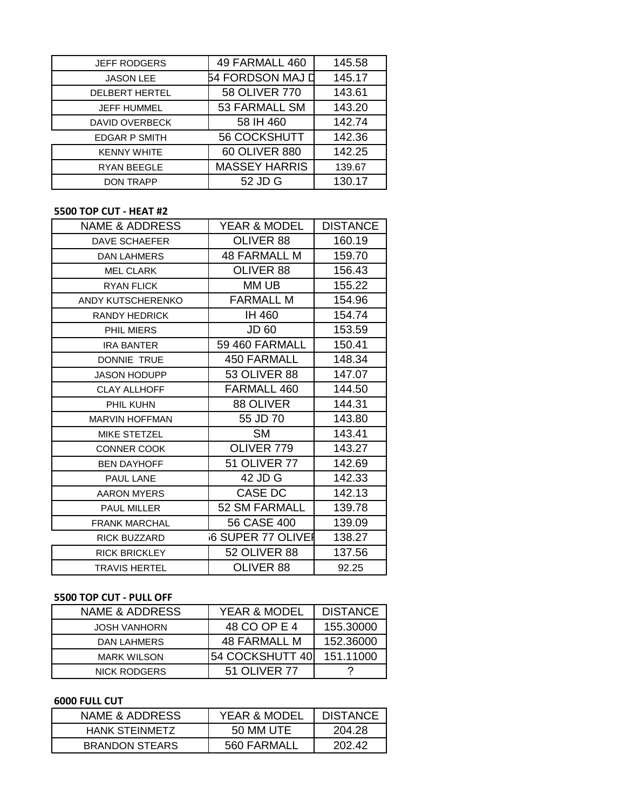| <b>JEFF RODGERS</b>   | 49 FARMALL 460       | 145.58 |
|-----------------------|----------------------|--------|
| <b>JASON LEE</b>      | 54 FORDSON MAJ D     | 145.17 |
| <b>DELBERT HERTEL</b> | 58 OLIVER 770        | 143.61 |
| <b>JEFF HUMMEL</b>    | 53 FARMALL SM        | 143.20 |
| <b>DAVID OVERBECK</b> | 58 IH 460            | 142.74 |
| <b>EDGAR P SMITH</b>  | 56 COCKSHUTT         | 142.36 |
| <b>KENNY WHITE</b>    | 60 OLIVER 880        | 142.25 |
| <b>RYAN BEEGLE</b>    | <b>MASSEY HARRIS</b> | 139.67 |
| <b>DON TRAPP</b>      | 52 JD G              | 130.17 |

#### **5500 TOP CUT - HEAT #2**

| <b>NAME &amp; ADDRESS</b> | YEAR & MODEL             | <b>DISTANCE</b> |
|---------------------------|--------------------------|-----------------|
| <b>DAVE SCHAEFER</b>      | OLIVER 88                | 160.19          |
| <b>DAN LAHMERS</b>        | 48 FARMALL M             | 159.70          |
| <b>MEL CLARK</b>          | OLIVER 88                | 156.43          |
| <b>RYAN FLICK</b>         | MM UB                    | 155.22          |
| ANDY KUTSCHERENKO         | <b>FARMALL M</b>         | 154.96          |
| <b>RANDY HEDRICK</b>      | IH 460                   | 154.74          |
| PHIL MIERS                | JD 60                    | 153.59          |
| <b>IRA BANTER</b>         | 59 460 FARMALL           | 150.41          |
| <b>DONNIE TRUE</b>        | <b>450 FARMALL</b>       | 148.34          |
| <b>JASON HODUPP</b>       | 53 OLIVER 88             | 147.07          |
| <b>CLAY ALLHOFF</b>       | FARMALL 460              | 144.50          |
| PHIL KUHN                 | 88 OLIVER                | 144.31          |
| <b>MARVIN HOFFMAN</b>     | 55 JD 70                 | 143.80          |
| MIKE STETZEL              | <b>SM</b>                | 143.41          |
| <b>CONNER COOK</b>        | OLIVER 779               | 143.27          |
| <b>BEN DAYHOFF</b>        | <b>51 OLIVER 77</b>      | 142.69          |
| PAUL LANE                 | 42 JD G                  | 142.33          |
| <b>AARON MYERS</b>        | CASE DC                  | 142.13          |
| <b>PAUL MILLER</b>        | 52 SM FARMALL            | 139.78          |
| <b>FRANK MARCHAL</b>      | 56 CASE 400              | 139.09          |
| <b>RICK BUZZARD</b>       | <b>6 SUPER 77 OLIVEI</b> | 138.27          |
| <b>RICK BRICKLEY</b>      | <b>52 OLIVER 88</b>      | 137.56          |
| <b>TRAVIS HERTEL</b>      | OLIVER 88                | 92.25           |
|                           |                          |                 |

## **5500 TOP CUT - PULL OFF**

| NAME & ADDRESS      | YEAR & MODEL    | <b>DISTANCE</b> |
|---------------------|-----------------|-----------------|
| <b>JOSH VANHORN</b> | 48 CO OP E 4    | 155.30000       |
| DAN LAHMERS         | 48 FARMALL M    | 152.36000       |
| <b>MARK WILSON</b>  | 54 COCKSHUTT 40 | 151.11000       |
| <b>NICK RODGERS</b> | 51 OLIVER 77    |                 |

#### **6000 FULL CUT**

| NAME & ADDRESS        | <b>YEAR &amp; MODEL</b> | <b>DISTANCE</b> |
|-----------------------|-------------------------|-----------------|
| <b>HANK STEINMETZ</b> | 50 MM UTE               | 204.28          |
| <b>BRANDON STEARS</b> | 560 FARMALL             | 202.42          |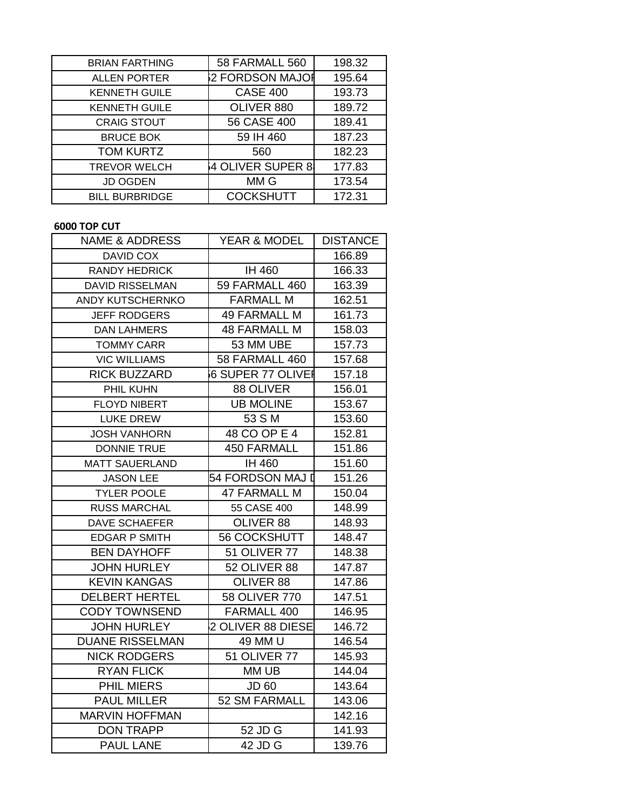| <b>BRIAN FARTHING</b> | <b>58 FARMALL 560</b> | 198.32 |
|-----------------------|-----------------------|--------|
| <b>ALLEN PORTER</b>   | 2 FORDSON MAJOI       | 195.64 |
| <b>KENNETH GUILE</b>  | <b>CASE 400</b>       | 193.73 |
| <b>KENNETH GUILE</b>  | OLIVER 880            | 189.72 |
| <b>CRAIG STOUT</b>    | 56 CASE 400           | 189.41 |
| <b>BRUCE BOK</b>      | 59 IH 460             | 187.23 |
| <b>TOM KURTZ</b>      | 560                   | 182.23 |
| <b>TREVOR WELCH</b>   | 4 OLIVER SUPER 8      | 177.83 |
| <b>JD OGDEN</b>       | MM G                  | 173.54 |
| <b>BILL BURBRIDGE</b> | <b>COCKSHUTT</b>      | 172.31 |

## **6000 TOP CUT**

| <b>NAME &amp; ADDRESS</b> | YEAR & MODEL         | <b>DISTANCE</b> |
|---------------------------|----------------------|-----------------|
| <b>DAVID COX</b>          |                      | 166.89          |
| <b>RANDY HEDRICK</b>      | IH 460               | 166.33          |
| <b>DAVID RISSELMAN</b>    | 59 FARMALL 460       | 163.39          |
| <b>ANDY KUTSCHERNKO</b>   | <b>FARMALL M</b>     | 162.51          |
| <b>JEFF RODGERS</b>       | <b>49 FARMALL M</b>  | 161.73          |
| <b>DAN LAHMERS</b>        | <b>48 FARMALL M</b>  | 158.03          |
| <b>TOMMY CARR</b>         | 53 MM UBE            | 157.73          |
| <b>VIC WILLIAMS</b>       | 58 FARMALL 460       | 157.68          |
| <b>RICK BUZZARD</b>       | 6 SUPER 77 OLIVEI    | 157.18          |
| PHIL KUHN                 | 88 OLIVER            | 156.01          |
| <b>FLOYD NIBERT</b>       | <b>UB MOLINE</b>     | 153.67          |
| <b>LUKE DREW</b>          | 53 S M               | 153.60          |
| <b>JOSH VANHORN</b>       | 48 CO OP E 4         | 152.81          |
| <b>DONNIE TRUE</b>        | <b>450 FARMALL</b>   | 151.86          |
| <b>MATT SAUERLAND</b>     | IH 460               | 151.60          |
| <b>JASON LEE</b>          | 54 FORDSON MAJ I     | 151.26          |
| <b>TYLER POOLE</b>        | <b>47 FARMALL M</b>  | 150.04          |
| <b>RUSS MARCHAL</b>       | 55 CASE 400          | 148.99          |
| <b>DAVE SCHAEFER</b>      | OLIVER 88            | 148.93          |
| <b>EDGAR P SMITH</b>      | 56 COCKSHUTT         | 148.47          |
| <b>BEN DAYHOFF</b>        | <b>51 OLIVER 77</b>  | 148.38          |
| <b>JOHN HURLEY</b>        | 52 OLIVER 88         | 147.87          |
| <b>KEVIN KANGAS</b>       | OLIVER 88            | 147.86          |
| <b>DELBERT HERTEL</b>     | <b>58 OLIVER 770</b> | 147.51          |
| <b>CODY TOWNSEND</b>      | FARMALL 400          | 146.95          |
| <b>JOHN HURLEY</b>        | 2 OLIVER 88 DIESE    | 146.72          |
| <b>DUANE RISSELMAN</b>    | 49 MM U              | 146.54          |
| <b>NICK RODGERS</b>       | <b>51 OLIVER 77</b>  | 145.93          |
| <b>RYAN FLICK</b>         | MM UB                | 144.04          |
| <b>PHIL MIERS</b>         | <b>JD 60</b>         | 143.64          |
| <b>PAUL MILLER</b>        | 52 SM FARMALL        | 143.06          |
| <b>MARVIN HOFFMAN</b>     |                      | 142.16          |
| <b>DON TRAPP</b>          | 52 JD G              | 141.93          |
| <b>PAUL LANE</b>          | 42 JD G              | 139.76          |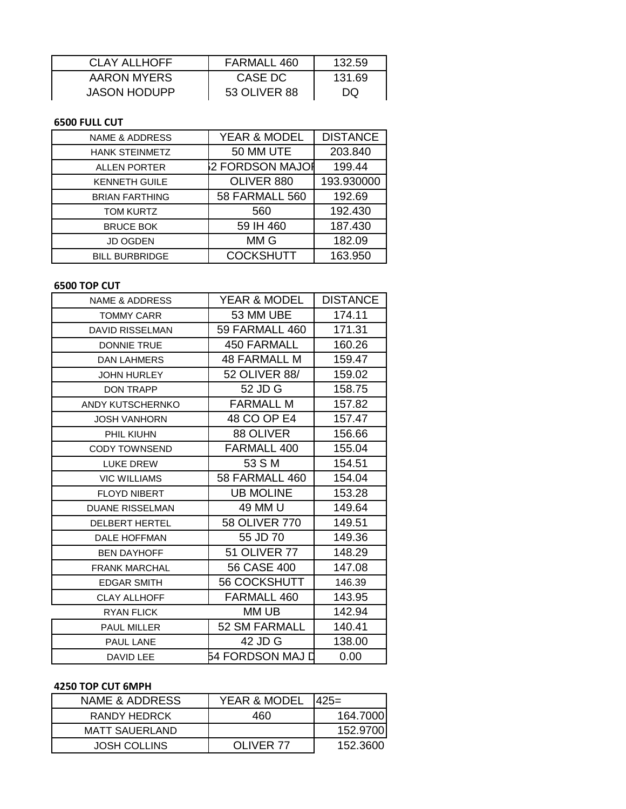| <b>CLAY ALLHOFF</b> | FARMALL 460  | 132.59 |
|---------------------|--------------|--------|
| AARON MYERS         | CASE DC      | 131.69 |
| <b>JASON HODUPP</b> | 53 OLIVER 88 | DQ     |

#### **6500 FULL CUT**

| <b>NAME &amp; ADDRESS</b> | YEAR & MODEL          | <b>DISTANCE</b> |
|---------------------------|-----------------------|-----------------|
| <b>HANK STEINMETZ</b>     | 50 MM UTE             | 203.840         |
| <b>ALLEN PORTER</b>       | 2 FORDSON MAJOI       | 199.44          |
| <b>KENNETH GUILE</b>      | OLIVER 880            | 193.930000      |
| <b>BRIAN FARTHING</b>     | <b>58 FARMALL 560</b> | 192.69          |
| <b>TOM KURTZ</b>          | 560                   | 192.430         |
| <b>BRUCE BOK</b>          | 59 IH 460             | 187.430         |
| <b>JD OGDEN</b>           | MM G                  | 182.09          |
| <b>BILL BURBRIDGE</b>     | <b>COCKSHUTT</b>      | 163.950         |

#### **6500 TOP CUT**

| <b>NAME &amp; ADDRESS</b> | <b>YEAR &amp; MODEL</b> | <b>DISTANCE</b> |
|---------------------------|-------------------------|-----------------|
| <b>TOMMY CARR</b>         | 53 MM UBE               | 174.11          |
| <b>DAVID RISSELMAN</b>    | 59 FARMALL 460          | 171.31          |
| <b>DONNIE TRUE</b>        | <b>450 FARMALL</b>      | 160.26          |
| <b>DAN LAHMERS</b>        | <b>48 FARMALL M</b>     | 159.47          |
| <b>JOHN HURLEY</b>        | 52 OLIVER 88/           | 159.02          |
| <b>DON TRAPP</b>          | 52 JD G                 | 158.75          |
| ANDY KUTSCHERNKO          | <b>FARMALL M</b>        | 157.82          |
| <b>JOSH VANHORN</b>       | 48 CO OP E4             | 157.47          |
| PHIL KIUHN                | 88 OLIVER               | 156.66          |
| <b>CODY TOWNSEND</b>      | FARMALL 400             | 155.04          |
| <b>LUKE DREW</b>          | 53 S M                  | 154.51          |
| <b>VIC WILLIAMS</b>       | <b>58 FARMALL 460</b>   | 154.04          |
| <b>FLOYD NIBERT</b>       | <b>UB MOLINE</b>        | 153.28          |
| <b>DUANE RISSELMAN</b>    | 49 MM U                 | 149.64          |
| <b>DELBERT HERTEL</b>     | 58 OLIVER 770           | 149.51          |
| <b>DALE HOFFMAN</b>       | 55 JD 70                | 149.36          |
| <b>BEN DAYHOFF</b>        | <b>51 OLIVER 77</b>     | 148.29          |
| <b>FRANK MARCHAL</b>      | 56 CASE 400             | 147.08          |
| <b>EDGAR SMITH</b>        | <b>56 COCKSHUTT</b>     | 146.39          |
| <b>CLAY ALLHOFF</b>       | FARMALL 460             | 143.95          |
| <b>RYAN FLICK</b>         | MM UB                   | 142.94          |
| PAUL MILLER               | 52 SM FARMALL           | 140.41          |
| <b>PAUL LANE</b>          | 42 JD G                 | 138.00          |
| DAVID LEE                 | 54 FORDSON MAJ D        | 0.00            |

## **4250 TOP CUT 6MPH**

| NAME & ADDRESS        | YEAR & MODEL | I425=    |
|-----------------------|--------------|----------|
| RANDY HEDRCK          | 460          | 164.7000 |
| <b>MATT SAUERLAND</b> |              | 152.9700 |
| <b>JOSH COLLINS</b>   | OLIVER 77    | 152.3600 |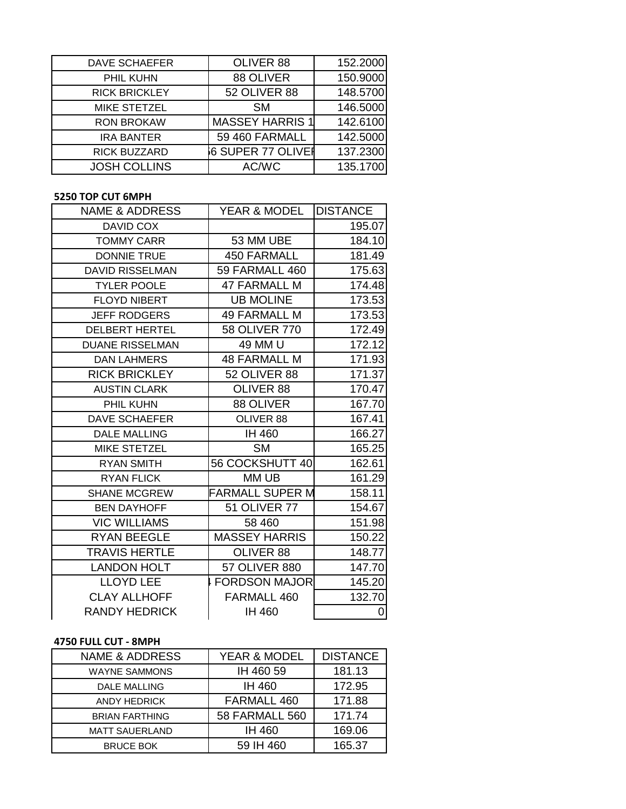| <b>DAVE SCHAEFER</b> | OLIVER 88              | 152.2000 |
|----------------------|------------------------|----------|
| PHIL KUHN            | 88 OLIVER              | 150.9000 |
| <b>RICK BRICKLEY</b> | 52 OLIVER 88           | 148.5700 |
| <b>MIKE STETZEL</b>  | <b>SM</b>              | 146.5000 |
| <b>RON BROKAW</b>    | <b>MASSEY HARRIS 1</b> | 142.6100 |
| <b>IRA BANTER</b>    | 59 460 FARMALL         | 142.5000 |
| <b>RICK BUZZARD</b>  | 6 SUPER 77 OLIVEI      | 137.2300 |
| <b>JOSH COLLINS</b>  | AC/WC                  | 135.1700 |

## **5250 TOP CUT 6MPH**

| <b>NAME &amp; ADDRESS</b> | YEAR & MODEL           | <b>IDISTANCE</b> |
|---------------------------|------------------------|------------------|
| DAVID COX                 |                        | 195.07           |
| <b>TOMMY CARR</b>         | 53 MM UBE              | 184.10           |
| <b>DONNIE TRUE</b>        | <b>450 FARMALL</b>     | 181.49           |
| <b>DAVID RISSELMAN</b>    | 59 FARMALL 460         | 175.63           |
| <b>TYLER POOLE</b>        | <b>47 FARMALL M</b>    | 174.48           |
| <b>FLOYD NIBERT</b>       | <b>UB MOLINE</b>       | 173.53           |
| <b>JEFF RODGERS</b>       | <b>49 FARMALL M</b>    | 173.53           |
| <b>DELBERT HERTEL</b>     | 58 OLIVER 770          | 172.49           |
| <b>DUANE RISSELMAN</b>    | 49 MM U                | 172.12           |
| <b>DAN LAHMERS</b>        | <b>48 FARMALL M</b>    | 171.93           |
| <b>RICK BRICKLEY</b>      | 52 OLIVER 88           | 171.37           |
| <b>AUSTIN CLARK</b>       | OLIVER 88              | 170.47           |
| PHIL KUHN                 | 88 OLIVER              | 167.70           |
| <b>DAVE SCHAEFER</b>      | OLIVER 88              | 167.41           |
| <b>DALE MALLING</b>       | IH 460                 | 166.27           |
| <b>MIKE STETZEL</b>       | <b>SM</b>              | 165.25           |
| <b>RYAN SMITH</b>         | 56 COCKSHUTT 40        | 162.61           |
| <b>RYAN FLICK</b>         | MM UB                  | 161.29           |
| <b>SHANE MCGREW</b>       | <b>FARMALL SUPER M</b> | 158.11           |
| <b>BEN DAYHOFF</b>        | <b>51 OLIVER 77</b>    | 154.67           |
| <b>VIC WILLIAMS</b>       | 58 460                 | 151.98           |
| <b>RYAN BEEGLE</b>        | <b>MASSEY HARRIS</b>   | 150.22           |
| <b>TRAVIS HERTLE</b>      | OLIVER 88              | 148.77           |
| <b>LANDON HOLT</b>        | <b>57 OLIVER 880</b>   | 147.70           |
| <b>LLOYD LEE</b>          | <b>FORDSON MAJOR</b>   | 145.20           |
| <b>CLAY ALLHOFF</b>       | FARMALL 460            | 132.70           |
| <b>RANDY HEDRICK</b>      | <b>IH 460</b>          | $\overline{0}$   |

# **4750 FULL CUT - 8MPH**

| <b>NAME &amp; ADDRESS</b> | YEAR & MODEL          | <b>DISTANCE</b> |
|---------------------------|-----------------------|-----------------|
| <b>WAYNE SAMMONS</b>      | IH 460 59             | 181.13          |
| <b>DALE MALLING</b>       | IH 460                | 172.95          |
| <b>ANDY HEDRICK</b>       | FARMALL 460           | 171.88          |
| <b>BRIAN FARTHING</b>     | <b>58 FARMALL 560</b> | 171.74          |
| <b>MATT SAUERLAND</b>     | IH 460                | 169.06          |
| <b>BRUCE BOK</b>          | 59 IH 460             | 165.37          |